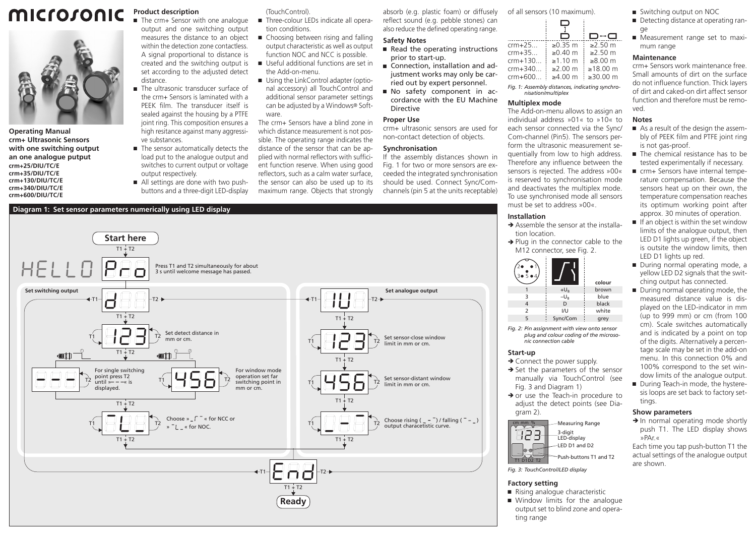# microsonic



**Operating Manual crm+ Ultrasonic Sensors with one switching output an one analogue putput crm+25/DIU/TC/E crm+35/DIU/TC/E crm+130/DIU/TC/E crm+340/DIU/TC/E crm+600/DIU/TC/E**

**Product description**

■ The crm+ Sensor with one analogue output and one switching output measures the distance to an object within the detection zone contactless. A signal proportional to distance is created and the switching output is set according to the adjusted detect distance.

- The ultrasonic transducer surface of the crm+ Sensors is laminated with a PEEK film. The transducer itself is sealed against the housing by a PTFE joint ring. This composition ensures a high resitance against many aggressive substances.
- The sensor automatically detects the load put to the analogue output and switches to current output or voltage output respectively.
- All settings are done with two pushbuttons and a three-digit LED-display

## (TouchControl).

- Three-colour LEDs indicate all operation conditions.
- Choosing between rising and falling output characteristic as well as output function NOC and NCC is possible.
- Useful additional functions are set in the Add-on-menu.
- Using the LinkControl adapter (optional accessory) all TouchControl and additional sensor parameter settings can be adjusted by a Windows® Software.

The crm+ Sensors have a blind zone in which distance measurement is not possible. The operating range indicates the distance of the sensor that can be applied with normal reflectors with sufficient function reserve. When using good reflectors, such as a calm water surface, the sensor can also be used up to its maximum range. Objects that strongly

#### absorb (e.g. plastic foam) or diffusely reflect sound (e.g. pebble stones) can also reduce the defined operating range.

# **Safety Notes**

- $\blacksquare$  Read the operating instructions prior to start-up.
- Connection, installation and adjustment works may only be carried out by expert personnel.
- Ԏ No safety component in accordance with the EU Machine Directive

#### **Proper Use** crm+ ultrasonic sensors are used for

non-contact detection of objects.

# **Synchronisation**

If the assembly distances shown in Fig. 1 for two or more sensors are exceeded the integrated synchronisation should be used. Connect Sync/Comchannels (pin 5 at the units receptable)



of all sensors (10 maximum).  $\overline{D}$  $D \leftarrow \square$ 

| crm+25                               | ≥0.35 m i ≥2.50 m |                       |
|--------------------------------------|-------------------|-----------------------|
| crm+35                               | $\ge 0.40$ m      | $\frac{1}{2}$ ≥2.50 m |
| crm+130 $\geq$ 1.10 m                |                   | $\approx$ ≥8.00 m     |
| crm+340 $\geq$ ≥2.00 m               |                   | $\geq 18.00$ m        |
| crm+600 $\geq 4.00$ m $\geq 30.00$ m |                   |                       |
|                                      |                   |                       |

*Fig. 1: Assembly distances, indicating synchronisation/multiplex*

#### **Multiplex mode**

The Add-on-menu allows to assign an individual address »01« to »10« to each sensor connected via the Sync/ Com-channel (Pin5). The sensors perform the ultrasonic measurement sequentially from low to high address. Therefore any influence between the sensors is rejected. The address »00« is reserved to synchronisation mode and deactivates the multiplex mode. To use synchronised mode all sensors must be set to address »00«.

# **Installation**

- $\rightarrow$  Assemble the sensor at the installation location.
- $\rightarrow$  Plug in the connector cable to the M12 connector, see Fig. 2.



*Fig. 2: Pin assignment with view onto sensor plug and colour coding of the microsonic connection cable*

#### **Start-up**

- $\rightarrow$  Connect the power supply.
- $\rightarrow$  Set the parameters of the sensor manually via TouchControl (see Fig. 3 and Diagram 1)
- $\rightarrow$  or use the Teach-in procedure to adjust the detect points (see Diagram 2).



*Fig. 3: TouchControl/LED display*

#### **Factory setting**

- Rising analogue characteristic
- Window limits for the analogue output set to blind zone and operating range
- Switching output on NOC
- Detecting distance at operating range
- Measurement range set to maximum range

# **Maintenance**

crm+ Sensors work maintenance free. Small amounts of dirt on the surface do not influence function. Thick layers of dirt and caked-on dirt affect sensor function and therefore must be removed.

## **Notes**

- As a result of the design the assembly of PEEK film and PTFE joint ring is not gas-proof.
- The chemical resistance has to be tested experimentally if necessary.
- crm+ Sensors have internal temperature compensation. Because the sensors heat up on their own, the temperature compensation reaches its optimum working point after approx. 30 minutes of operation.
- $\blacksquare$  If an object is within the set window limits of the analogue output, then LED D1 lights up green, if the object is outsite the window limits, then LED D1 lights up red.
- During normal operating mode, a yellow LED D2 signals that the switching output has connected.
- During normal operating mode, the measured distance value is displayed on the LED-indicator in mm (up to 999 mm) or cm (from 100 cm). Scale switches automatically and is indicated by a point on top of the digits. Alternatively a percentage scale may be set in the add-on menu. In this connection 0% and 100% correspond to the set window limits of the analogue output.
- During Teach-in mode, the hysteresis loops are set back to factory settings.

# **Show parameters**

 $\rightarrow$  In normal operating mode shortly push T1. The LED display shows »PAr.«

Each time you tap push-button T1 the actual settings of the analogue output are shown.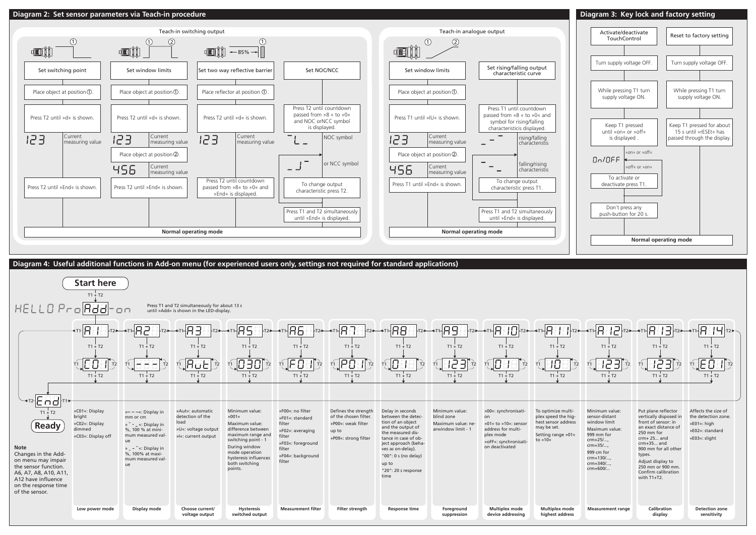